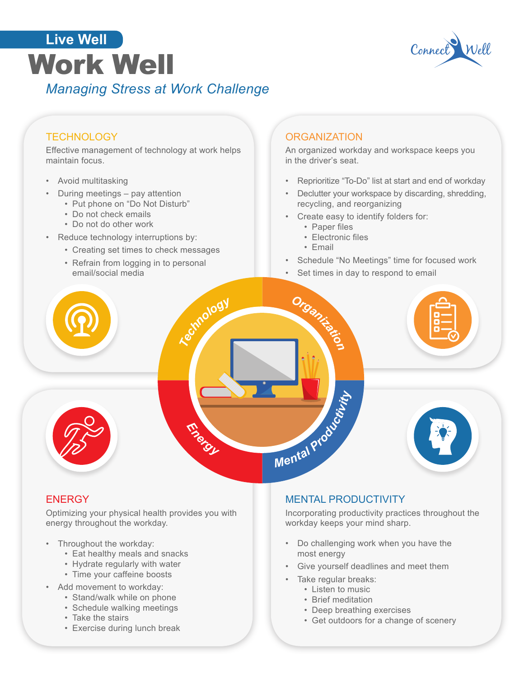# Work Well *Managing Stress at Work Challenge* **Live Well**



### **TECHNOLOGY**

Effective management of technology at work helps maintain focus.

- Avoid multitasking
- During meetings pay attention
	- Put phone on "Do Not Disturb"
	- Do not check emails
	- Do not do other work
- Reduce technology interruptions by:
	- Creating set times to check messages
	- Refrain from logging in to personal email/social media

#### **ORGANIZATION**

An organized workday and workspace keeps you in the driver's seat.

- Reprioritize "To-Do" list at start and end of workday
- Declutter your workspace by discarding, shredding, recycling, and reorganizing
- Create easy to identify folders for:
	- Paper files
	- Electronic files
	- Email
- Schedule "No Meetings" time for focused work
- Set times in day to respond to email



#### **ENERGY**

Optimizing your physical health provides you with energy throughout the workday.

- Throughout the workday:
	- Eat healthy meals and snacks
	- Hydrate regularly with water
	- Time your caffeine boosts
- Add movement to workday:
	- Stand/walk while on phone
	- Schedule walking meetings
	- Take the stairs
	- Exercise during lunch break

#### MENTAL PRODUCTIVITY

Incorporating productivity practices throughout the workday keeps your mind sharp.

- Do challenging work when you have the most energy
- Give yourself deadlines and meet them
- Take regular breaks:
	- Listen to music
	- Brief meditation
	- Deep breathing exercises
	- Get outdoors for a change of scenery